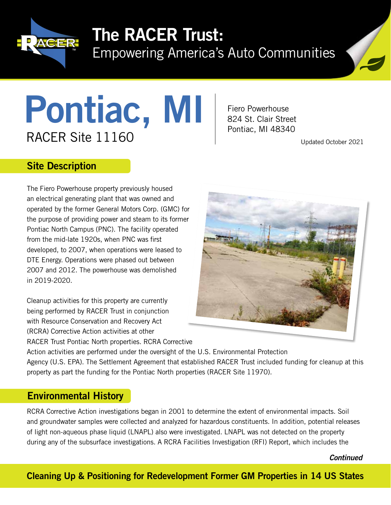

# The RACER Trust:

Empowering America's Auto Communities



# **PONTIAC, MI Fiero Powerhouse**<br>RACER Site 11160 Pontiac, MI 48340<br>Updated October 2021

Fiero Powerhouse

#### Site Description

The Fiero Powerhouse property previously housed an electrical generating plant that was owned and operated by the former General Motors Corp. (GMC) for the purpose of providing power and steam to its former Pontiac North Campus (PNC). The facility operated from the mid-late 1920s, when PNC was first developed, to 2007, when operations were leased to DTE Energy. Operations were phased out between 2007 and 2012. The powerhouse was demolished in 2019-2020.

Cleanup activities for this property are currently being performed by RACER Trust in conjunction with Resource Conservation and Recovery Act (RCRA) Corrective Action activities at other RACER Trust Pontiac North properties. RCRA Corrective



Action activities are performed under the oversight of the U.S. Environmental Protection Agency (U.S. EPA). The Settlement Agreement that established RACER Trust included funding for cleanup at this property as part the funding for the Pontiac North properties (RACER Site 11970).

# Environmental History

RCRA Corrective Action investigations began in 2001 to determine the extent of environmental impacts. Soil and groundwater samples were collected and analyzed for hazardous constituents. In addition, potential releases of light non-aqueous phase liquid (LNAPL) also were investigated. LNAPL was not detected on the property during any of the subsurface investigations. A RCRA Facilities Investigation (RFI) Report, which includes the

*Continued*

## Cleaning Up & Positioning for Redevelopment Former GM Properties in 14 US States